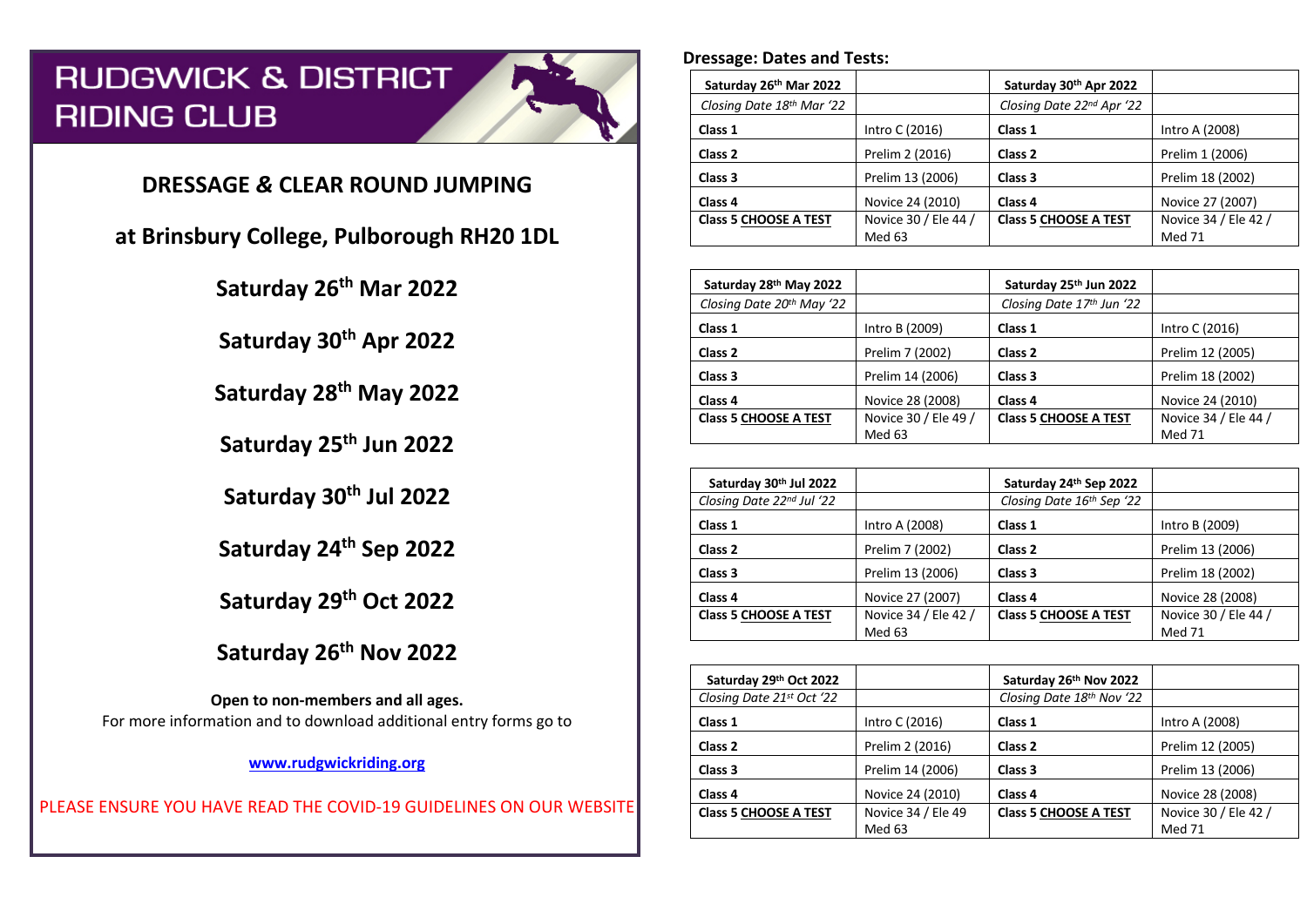# **RUDGWICK & DISTRICT RIDING CLUB**



# **DRESSAGE** *&* **CLEAR ROUND JUMPING**

**at Brinsbury College, Pulborough RH20 1DL**

**Saturday 26th Mar 2022**

**Saturday 30th Apr 2022**

**Saturday 28th May 2022**

**Saturday 25th Jun 2022**

**Saturday 30th Jul 2022**

**Saturday 24th Sep 2022**

**Saturday 29th Oct 2022**

**Saturday 26th Nov 2022**

**Open to non-members and all ages.** For more information and to download additional entry forms go to

**www.rudgwickriding.org**

PLEASE ENSURE YOU HAVE READ THE COVID-19 GUIDELINES ON OUR WEBSITE

## **Dressage: Dates and Tests:**

| Saturday 26th Mar 2022       |                      | Saturday 30th Apr 2022       |                      |
|------------------------------|----------------------|------------------------------|----------------------|
| Closing Date 18th Mar '22    |                      | Closing Date 22nd Apr '22    |                      |
| Class 1                      | Intro C (2016)       | Class 1                      | Intro A (2008)       |
| Class <sub>2</sub>           | Prelim 2 (2016)      | Class 2                      | Prelim 1 (2006)      |
| Class 3                      | Prelim 13 (2006)     | Class 3                      | Prelim 18 (2002)     |
| Class 4                      | Novice 24 (2010)     | Class <sub>4</sub>           | Novice 27 (2007)     |
| <b>Class 5 CHOOSE A TEST</b> | Novice 30 / Ele 44 / | <b>Class 5 CHOOSE A TEST</b> | Novice 34 / Ele 42 / |
|                              | Med 63               |                              | <b>Med 71</b>        |

| Saturday 28th May 2022       |                      | Saturday 25th Jun 2022       |                      |
|------------------------------|----------------------|------------------------------|----------------------|
| Closing Date 20th May '22    |                      | Closing Date 17th Jun '22    |                      |
| Class 1                      | Intro B (2009)       | Class 1                      | Intro C (2016)       |
| Class <sub>2</sub>           | Prelim 7 (2002)      | Class 2                      | Prelim 12 (2005)     |
| Class 3                      | Prelim 14 (2006)     | Class 3                      | Prelim 18 (2002)     |
| Class 4                      | Novice 28 (2008)     | Class 4                      | Novice 24 (2010)     |
| <b>Class 5 CHOOSE A TEST</b> | Novice 30 / Ele 49 / | <b>Class 5 CHOOSE A TEST</b> | Novice 34 / Ele 44 / |
|                              | Med 63               |                              | <b>Med 71</b>        |

| Saturday 30th Jul 2022       |                      | Saturday 24th Sep 2022       |                      |
|------------------------------|----------------------|------------------------------|----------------------|
| Closing Date 22nd Jul '22    |                      | Closing Date 16th Sep '22    |                      |
| Class 1                      | Intro A (2008)       | Class 1                      | Intro B (2009)       |
| Class 2                      | Prelim 7 (2002)      | Class 2                      | Prelim 13 (2006)     |
| Class 3                      | Prelim 13 (2006)     | Class 3                      | Prelim 18 (2002)     |
| Class 4                      | Novice 27 (2007)     | Class <sub>4</sub>           | Novice 28 (2008)     |
| <b>Class 5 CHOOSE A TEST</b> | Novice 34 / Ele 42 / | <b>Class 5 CHOOSE A TEST</b> | Novice 30 / Ele 44 / |
|                              | Med 63               |                              | <b>Med 71</b>        |

| Saturday 29th Oct 2022       |                    | Saturday 26th Nov 2022       |                      |  |
|------------------------------|--------------------|------------------------------|----------------------|--|
| Closing Date 21st Oct '22    |                    | Closing Date 18th Nov '22    |                      |  |
| Class 1                      | Intro C (2016)     | Class 1                      | Intro A (2008)       |  |
| Class <sub>2</sub>           | Prelim 2 (2016)    | Class <sub>2</sub>           | Prelim 12 (2005)     |  |
| Class <sub>3</sub>           | Prelim 14 (2006)   | Class 3                      | Prelim 13 (2006)     |  |
| Class 4                      | Novice 24 (2010)   | Class 4                      | Novice 28 (2008)     |  |
| <b>Class 5 CHOOSE A TEST</b> | Novice 34 / Ele 49 | <b>Class 5 CHOOSE A TEST</b> | Novice 30 / Ele 42 / |  |
|                              | Med 63             |                              | <b>Med 71</b>        |  |